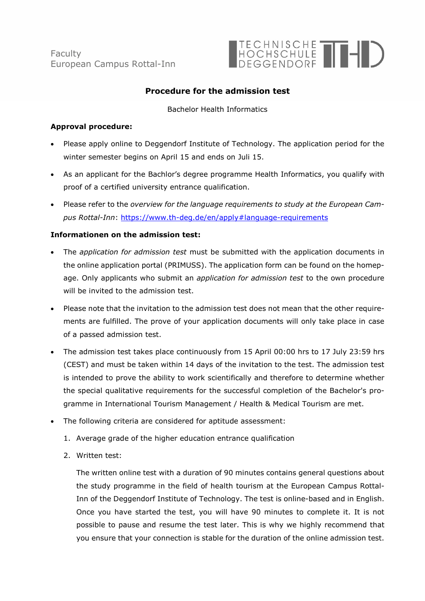**Faculty** European Campus Rottal-Inn



# **Procedure for the admission test**

#### Bachelor Health Informatics

### **Approval procedure:**

- Please apply online to Deggendorf Institute of Technology. The application period for the winter semester begins on April 15 and ends on Juli 15.
- As an applicant for the Bachlor's degree programme Health Informatics, you qualify with proof of a certified university entrance qualification.
- Please refer to the *overview for the language requirements to study at the European Campus Rottal-Inn*: https://www.th-deg.de/en/apply#language-requirements

## **Informationen on the admission test:**

- The *application for admission test* must be submitted with the application documents in the online application portal (PRIMUSS). The application form can be found on the homepage. Only applicants who submit an *application for admission test* to the own procedure will be invited to the admission test.
- Please note that the invitation to the admission test does not mean that the other requirements are fulfilled. The prove of your application documents will only take place in case of a passed admission test.
- The admission test takes place continuously from 15 April 00:00 hrs to 17 July 23:59 hrs (CEST) and must be taken within 14 days of the invitation to the test. The admission test is intended to prove the ability to work scientifically and therefore to determine whether the special qualitative requirements for the successful completion of the Bachelor's programme in International Tourism Management / Health & Medical Tourism are met.
- The following criteria are considered for aptitude assessment:
	- 1. Average grade of the higher education entrance qualification
	- 2. Written test:

The written online test with a duration of 90 minutes contains general questions about the study programme in the field of health tourism at the European Campus Rottal-Inn of the Deggendorf Institute of Technology. The test is online-based and in English. Once you have started the test, you will have 90 minutes to complete it. It is not possible to pause and resume the test later. This is why we highly recommend that you ensure that your connection is stable for the duration of the online admission test.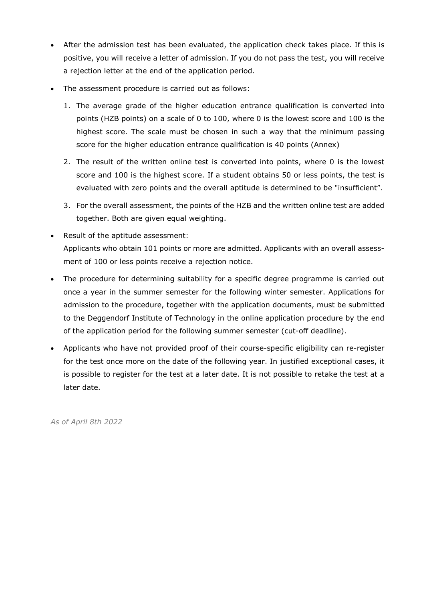- After the admission test has been evaluated, the application check takes place. If this is positive, you will receive a letter of admission. If you do not pass the test, you will receive a rejection letter at the end of the application period.
- The assessment procedure is carried out as follows:
	- 1. The average grade of the higher education entrance qualification is converted into points (HZB points) on a scale of 0 to 100, where 0 is the lowest score and 100 is the highest score. The scale must be chosen in such a way that the minimum passing score for the higher education entrance qualification is 40 points (Annex)
	- 2. The result of the written online test is converted into points, where 0 is the lowest score and 100 is the highest score. If a student obtains 50 or less points, the test is evaluated with zero points and the overall aptitude is determined to be "insufficient".
	- 3. For the overall assessment, the points of the HZB and the written online test are added together. Both are given equal weighting.
- Result of the aptitude assessment: Applicants who obtain 101 points or more are admitted. Applicants with an overall assessment of 100 or less points receive a rejection notice.
- The procedure for determining suitability for a specific degree programme is carried out once a year in the summer semester for the following winter semester. Applications for admission to the procedure, together with the application documents, must be submitted to the Deggendorf Institute of Technology in the online application procedure by the end of the application period for the following summer semester (cut-off deadline).
- Applicants who have not provided proof of their course-specific eligibility can re-register for the test once more on the date of the following year. In justified exceptional cases, it is possible to register for the test at a later date. It is not possible to retake the test at a later date.

*As of April 8th 2022*